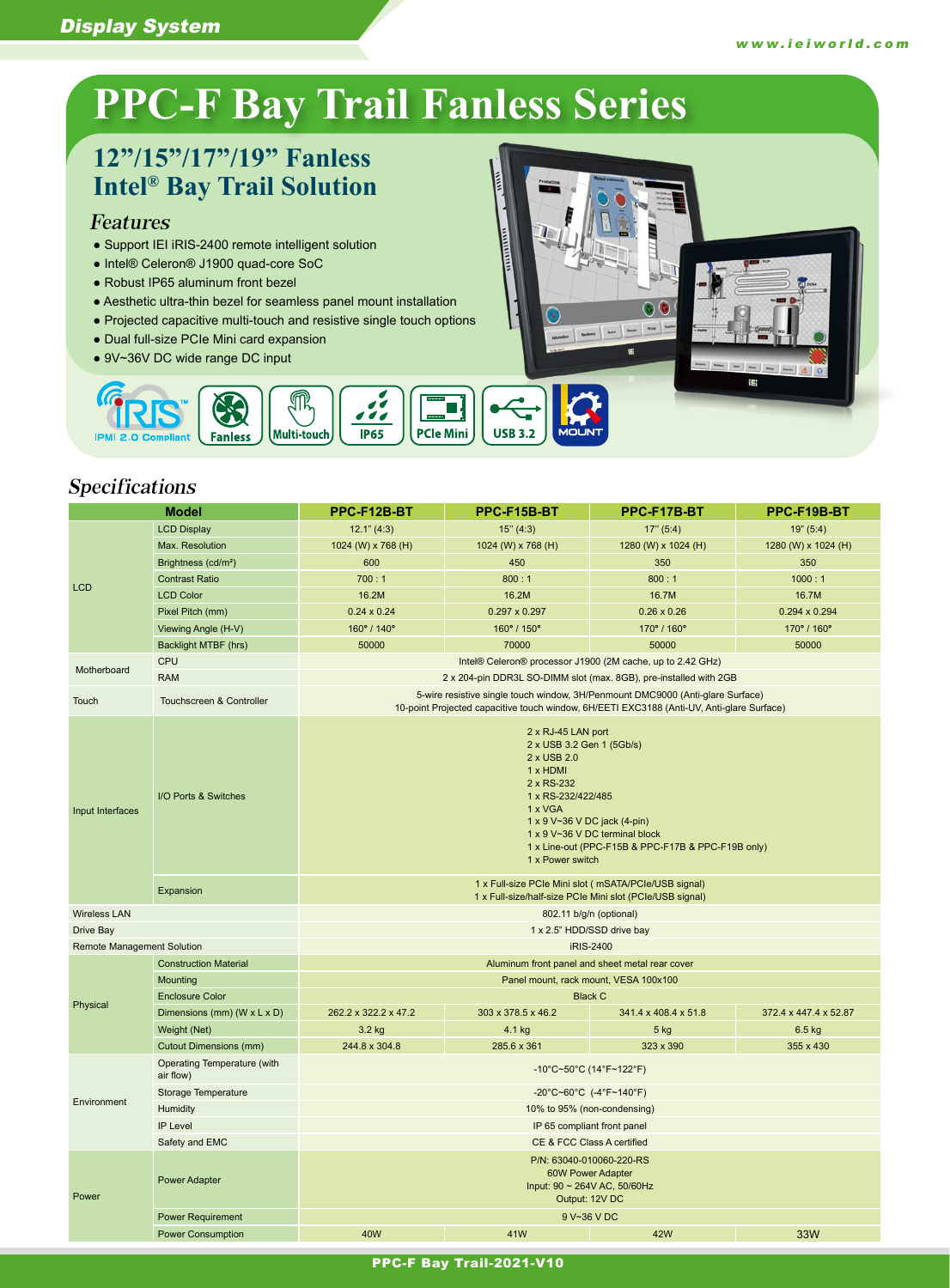### Display System

# **PPC-F Bay Trail Fanless Series**

# **12"/15"/17"/19" Fanless Intel® Bay Trail Solution**

### Features

- Support IEI iRIS-2400 remote intelligent solution
- Intel® Celeron® J1900 quad-core SoC
- Robust IP65 aluminum front bezel
- Aesthetic ultra-thin bezel for seamless panel mount installation
- Projected capacitive multi-touch and resistive single touch options

M

Multi-touch

 $\frac{1}{2}$ 

 $P65$ 

П

**PCle Mini** 

● Dual full-size PCIe Mini card expansion

CO

**Fanless** 

● 9V~36V DC wide range DC input



## Specifications

**IPMI 2** 

| <b>Model</b>                      |                                           | PPC-F12B-BT                                                                                                                                                                                                                                                           | PPC-F15B-BT                                     | PPC-F17B-BT          | PPC-F19B-BT           |  |
|-----------------------------------|-------------------------------------------|-----------------------------------------------------------------------------------------------------------------------------------------------------------------------------------------------------------------------------------------------------------------------|-------------------------------------------------|----------------------|-----------------------|--|
| <b>LCD</b>                        | <b>LCD Display</b>                        | 12.1" (4:3)                                                                                                                                                                                                                                                           | 15" (4:3)                                       | 17" (5:4)            | 19" (5:4)             |  |
|                                   | Max. Resolution                           | 1024 (W) x 768 (H)                                                                                                                                                                                                                                                    | 1024 (W) x 768 (H)                              | 1280 (W) x 1024 (H)  | 1280 (W) x 1024 (H)   |  |
|                                   | Brightness (cd/m <sup>2</sup> )           | 600                                                                                                                                                                                                                                                                   | 450                                             | 350                  | 350                   |  |
|                                   | <b>Contrast Ratio</b>                     | 700:1                                                                                                                                                                                                                                                                 | 800:1                                           | 800:1                | 1000:1                |  |
|                                   | <b>LCD Color</b>                          | 16.2M                                                                                                                                                                                                                                                                 | 16.2M                                           | 16.7M                | 16.7M                 |  |
|                                   | Pixel Pitch (mm)                          | $0.24 \times 0.24$                                                                                                                                                                                                                                                    | $0.297 \times 0.297$                            | $0.26 \times 0.26$   | 0.294 x 0.294         |  |
|                                   | Viewing Angle (H-V)                       | 160° / 140°                                                                                                                                                                                                                                                           | 160° / 150°                                     | 170° / 160°          | 170° / 160°           |  |
|                                   | Backlight MTBF (hrs)                      | 50000                                                                                                                                                                                                                                                                 | 70000                                           | 50000                | 50000                 |  |
|                                   | CPU                                       | Intel® Celeron® processor J1900 (2M cache, up to 2.42 GHz)                                                                                                                                                                                                            |                                                 |                      |                       |  |
| Motherboard                       | <b>RAM</b>                                | 2 x 204-pin DDR3L SO-DIMM slot (max. 8GB), pre-installed with 2GB                                                                                                                                                                                                     |                                                 |                      |                       |  |
| Touch                             | <b>Touchscreen &amp; Controller</b>       | 5-wire resistive single touch window, 3H/Penmount DMC9000 (Anti-glare Surface)<br>10-point Projected capacitive touch window, 6H/EETI EXC3188 (Anti-UV, Anti-glare Surface)                                                                                           |                                                 |                      |                       |  |
| Input Interfaces                  | I/O Ports & Switches                      | 2 x RJ-45 LAN port<br>2 x USB 3.2 Gen 1 (5Gb/s)<br>2 x USB 2.0<br>1 x HDMI<br>2 x RS-232<br>1 x RS-232/422/485<br>1 x VGA<br>1 x 9 V~36 V DC jack (4-pin)<br>1 x 9 V~36 V DC terminal block<br>1 x Line-out (PPC-F15B & PPC-F17B & PPC-F19B only)<br>1 x Power switch |                                                 |                      |                       |  |
|                                   | Expansion                                 | 1 x Full-size PCIe Mini slot (mSATA/PCIe/USB signal)<br>1 x Full-size/half-size PCIe Mini slot (PCIe/USB signal)                                                                                                                                                      |                                                 |                      |                       |  |
| <b>Wireless LAN</b>               |                                           | 802.11 b/g/n (optional)                                                                                                                                                                                                                                               |                                                 |                      |                       |  |
| Drive Bay                         |                                           |                                                                                                                                                                                                                                                                       | 1 x 2.5" HDD/SSD drive bay                      |                      |                       |  |
| <b>Remote Management Solution</b> |                                           |                                                                                                                                                                                                                                                                       |                                                 | iRIS-2400            |                       |  |
|                                   | <b>Construction Material</b>              |                                                                                                                                                                                                                                                                       | Aluminum front panel and sheet metal rear cover |                      |                       |  |
|                                   | Mounting                                  |                                                                                                                                                                                                                                                                       | Panel mount, rack mount, VESA 100x100           |                      |                       |  |
| Physical                          | <b>Enclosure Color</b>                    |                                                                                                                                                                                                                                                                       | <b>Black C</b>                                  |                      |                       |  |
|                                   | Dimensions (mm) ( $W \times L \times D$ ) | 262.2 x 322.2 x 47.2                                                                                                                                                                                                                                                  | 303 x 378.5 x 46.2                              | 341.4 x 408.4 x 51.8 | 372.4 x 447.4 x 52.87 |  |
|                                   | Weight (Net)                              | 3.2 kg                                                                                                                                                                                                                                                                | 4.1 kg                                          | $5$ kg               | $6.5$ kg              |  |
|                                   | <b>Cutout Dimensions (mm)</b>             | 244.8 x 304.8                                                                                                                                                                                                                                                         | 285.6 x 361                                     | 323 x 390            | 355 x 430             |  |
|                                   | Operating Temperature (with<br>air flow)  | -10°C~50°C (14°F~122°F)                                                                                                                                                                                                                                               |                                                 |                      |                       |  |
| Environment                       | Storage Temperature                       | -20°C~60°C (-4°F~140°F)                                                                                                                                                                                                                                               |                                                 |                      |                       |  |
|                                   | Humidity                                  | 10% to 95% (non-condensing)                                                                                                                                                                                                                                           |                                                 |                      |                       |  |
|                                   | IP Level                                  | IP 65 compliant front panel                                                                                                                                                                                                                                           |                                                 |                      |                       |  |
|                                   | Safety and EMC                            | CE & FCC Class A certified                                                                                                                                                                                                                                            |                                                 |                      |                       |  |
| Power                             | <b>Power Adapter</b>                      | P/N: 63040-010060-220-RS<br><b>60W Power Adapter</b><br>Input: 90 ~ 264V AC, 50/60Hz<br>Output: 12V DC                                                                                                                                                                |                                                 |                      |                       |  |
|                                   | <b>Power Requirement</b>                  | 9 V~36 V DC                                                                                                                                                                                                                                                           |                                                 |                      |                       |  |
|                                   | <b>Power Consumption</b>                  | 40W                                                                                                                                                                                                                                                                   | 41W                                             | <b>42W</b>           | 33W                   |  |

#### PPC-F Bay Trail-2021-V10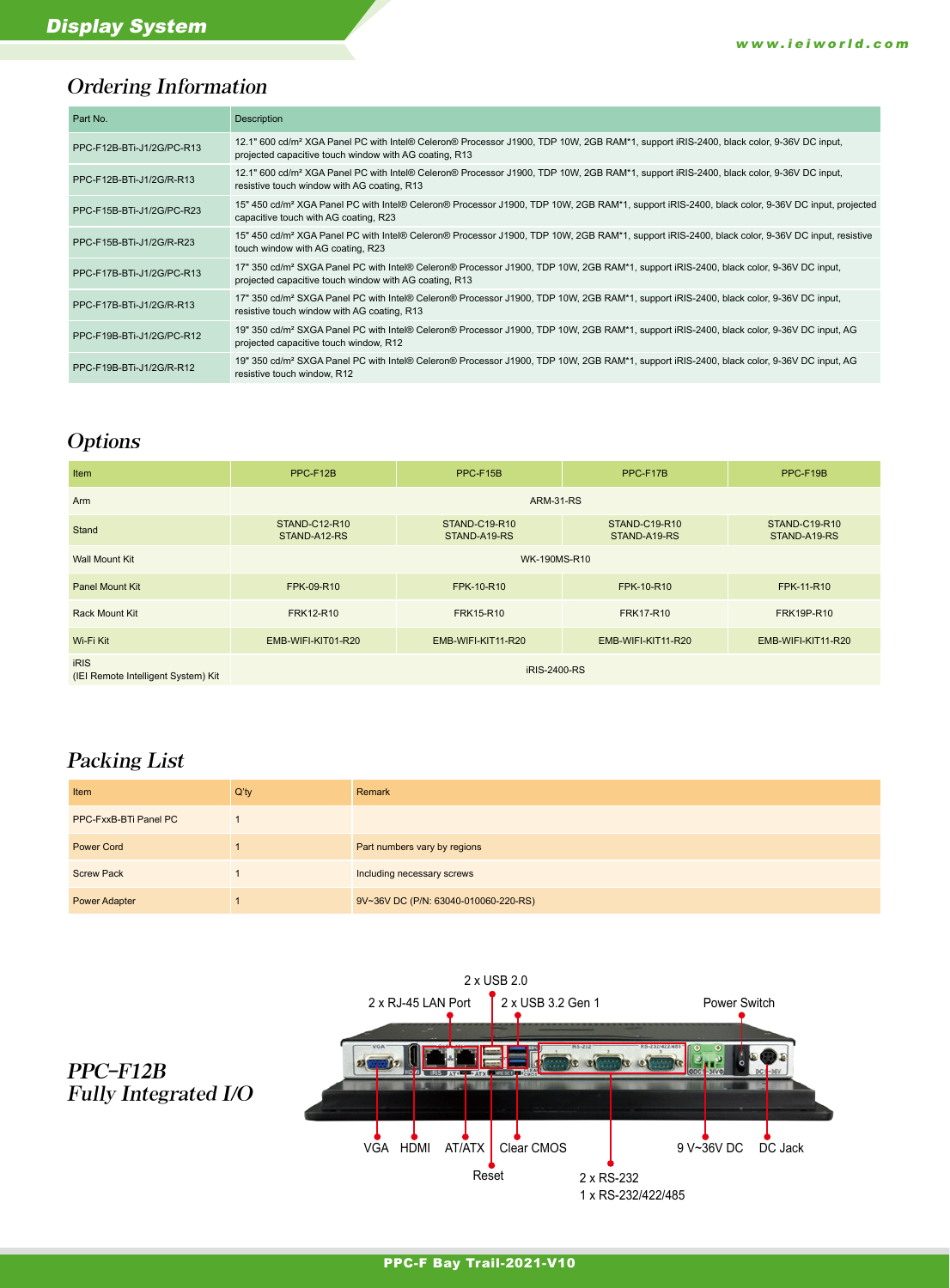# Ordering Information

| Part No.                  | Description                                                                                                                                                                                                  |
|---------------------------|--------------------------------------------------------------------------------------------------------------------------------------------------------------------------------------------------------------|
| PPC-F12B-BTi-J1/2G/PC-R13 | 12.1" 600 cd/m <sup>2</sup> XGA Panel PC with Intel® Celeron® Processor J1900, TDP 10W, 2GB RAM*1, support iRIS-2400, black color, 9-36V DC input,<br>projected capacitive touch window with AG coating, R13 |
| PPC-F12B-BTi-J1/2G/R-R13  | 12.1" 600 cd/m <sup>2</sup> XGA Panel PC with Intel® Celeron® Processor J1900, TDP 10W, 2GB RAM*1, support iRIS-2400, black color, 9-36V DC input,<br>resistive touch window with AG coating, R13            |
| PPC-F15B-BTi-J1/2G/PC-R23 | 15" 450 cd/m <sup>2</sup> XGA Panel PC with Intel® Celeron® Processor J1900, TDP 10W, 2GB RAM*1, support iRIS-2400, black color, 9-36V DC input, projected<br>capacitive touch with AG coating, R23          |
| PPC-F15B-BTi-J1/2G/R-R23  | 15" 450 cd/m <sup>2</sup> XGA Panel PC with Intel® Celeron® Processor J1900, TDP 10W, 2GB RAM*1, support iRIS-2400, black color, 9-36V DC input, resistive<br>touch window with AG coating, R23              |
| PPC-F17B-BTi-J1/2G/PC-R13 | 17" 350 cd/m <sup>2</sup> SXGA Panel PC with Intel® Celeron® Processor J1900, TDP 10W, 2GB RAM*1, support iRIS-2400, black color, 9-36V DC input,<br>projected capacitive touch window with AG coating, R13  |
| PPC-F17B-BTi-J1/2G/R-R13  | 17" 350 cd/m <sup>2</sup> SXGA Panel PC with Intel® Celeron® Processor J1900, TDP 10W, 2GB RAM*1, support iRIS-2400, black color, 9-36V DC input,<br>resistive touch window with AG coating, R13             |
| PPC-F19B-BTi-J1/2G/PC-R12 | 19" 350 cd/m <sup>2</sup> SXGA Panel PC with Intel® Celeron® Processor J1900, TDP 10W, 2GB RAM*1, support iRIS-2400, black color, 9-36V DC input, AG<br>projected capacitive touch window, R12               |
| PPC-F19B-BTi-J1/2G/R-R12  | 19" 350 cd/m <sup>2</sup> SXGA Panel PC with Intel® Celeron® Processor J1900, TDP 10W, 2GB RAM*1, support iRIS-2400, black color, 9-36V DC input, AG<br>resistive touch window. R12                          |

# **Options**

| Item                                               | PPC-F12B                      | PPC-F15B                             | PPC-F17B                             | PPC-F19B                             |  |
|----------------------------------------------------|-------------------------------|--------------------------------------|--------------------------------------|--------------------------------------|--|
| Arm                                                | <b>ARM-31-RS</b>              |                                      |                                      |                                      |  |
| Stand                                              | STAND-C12-R10<br>STAND-A12-RS | <b>STAND-C19-R10</b><br>STAND-A19-RS | <b>STAND-C19-R10</b><br>STAND-A19-RS | <b>STAND-C19-R10</b><br>STAND-A19-RS |  |
| <b>Wall Mount Kit</b>                              | WK-190MS-R10                  |                                      |                                      |                                      |  |
| Panel Mount Kit                                    | FPK-09-R10                    | FPK-10-R10                           | FPK-10-R10                           | <b>FPK-11-R10</b>                    |  |
| <b>Rack Mount Kit</b>                              | <b>FRK12-R10</b>              | <b>FRK15-R10</b>                     | <b>FRK17-R10</b>                     | <b>FRK19P-R10</b>                    |  |
| Wi-Fi Kit                                          | EMB-WIFI-KIT01-R20            | EMB-WIFI-KIT11-R20                   | EMB-WIFI-KIT11-R20                   | EMB-WIFI-KIT11-R20                   |  |
| <b>iRIS</b><br>(IEI Remote Intelligent System) Kit | <b>iRIS-2400-RS</b>           |                                      |                                      |                                      |  |

# Packing List

PPC-F12B

| Item                  | $Q'$ ty | Remark                               |
|-----------------------|---------|--------------------------------------|
| PPC-FxxB-BTi Panel PC |         |                                      |
| <b>Power Cord</b>     |         | Part numbers vary by regions         |
| <b>Screw Pack</b>     |         | Including necessary screws           |
| <b>Power Adapter</b>  |         | 9V~36V DC (P/N: 63040-010060-220-RS) |



# PPC-F Bay Trail-2021-V10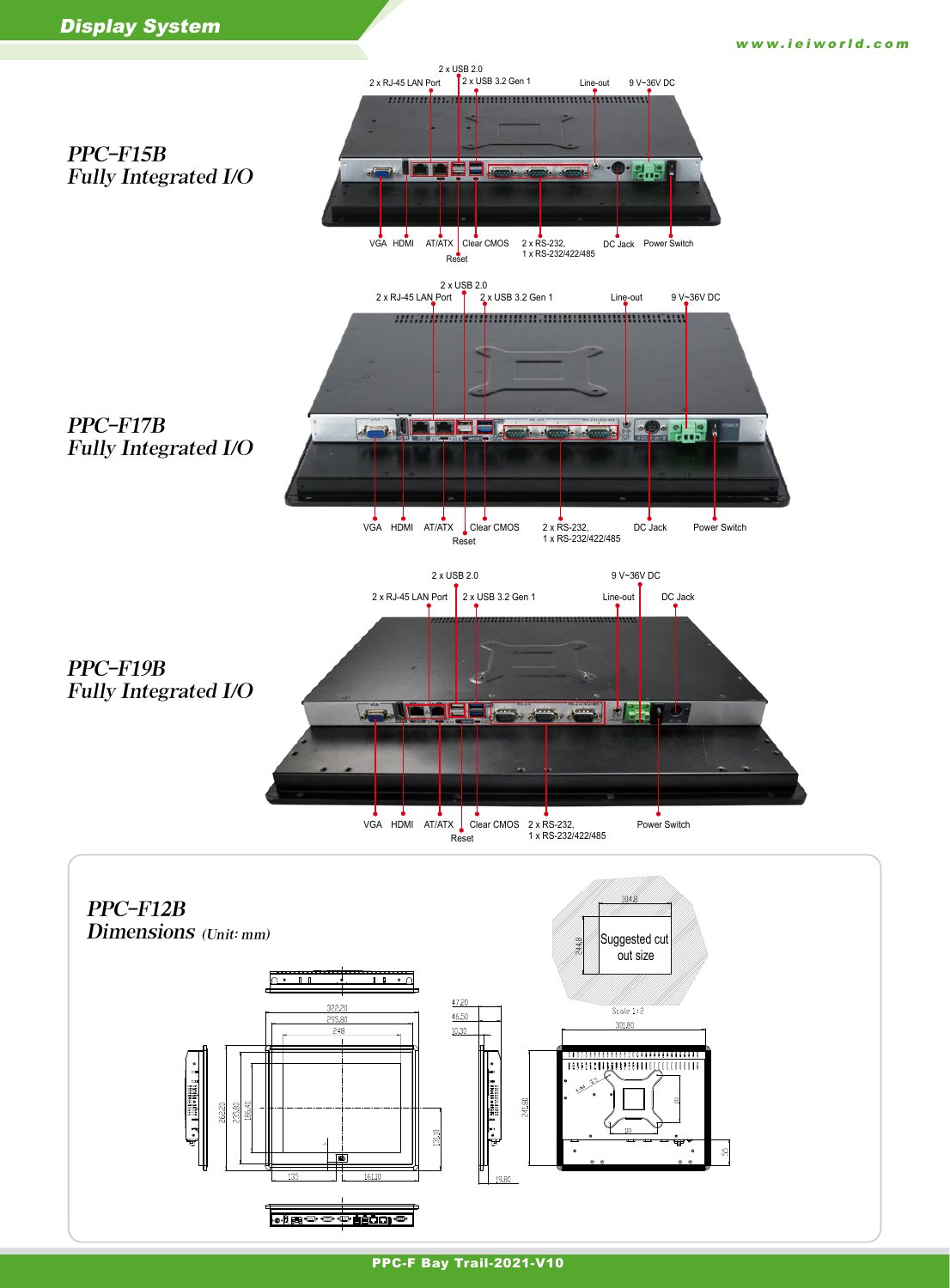